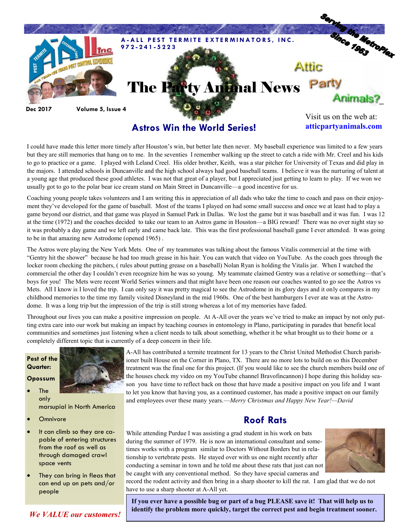

**Astros Win the World Series!**

**atticpartyanimals.com**

I could have made this letter more timely after Houston's win, but better late then never. My baseball experience was limited to a few years but they are still memories that hang on to me. In the seventies I remember walking up the street to catch a ride with Mr. Creel and his kids to go to practice or a game. I played with Leland Creel. His older brother, Keith, was a star pitcher for University of Texas and did play in the majors. I attended schools in Duncanville and the high school always had good baseball teams. I believe it was the nurturing of talent at a young age that produced these good athletes. I was not that great of a player, but I appreciated just getting to learn to play. If we won we usually got to go to the polar bear ice cream stand on Main Street in Duncanville—a good incentive for us.

Coaching young people takes volunteers and I am writing this in appreciation of all dads who take the time to coach and pass on their enjoyment they've developed for the game of baseball. Most of the teams I played on had some small success and once we at least had to play a game beyond our district, and that game was played in Samuel Park in Dallas. We lost the game but it was baseball and it was fun. I was 12 at the time (1972) and the coaches decided to take our team to an Astros game in Houston—a BIG reward! There was no over night stay so it was probably a day game and we left early and came back late. This was the first professional baseball game I ever attended. It was going to be in that amazing new Astrodome (opened 1965) .

The Astros were playing the New York Mets. One of my teammates was talking about the famous Vitalis commercial at the time with "Gentry hit the shower" because he had too much grease in his hair. You can watch that video on YouTube. As the coach goes through the locker room checking the pitchers, ( rules about putting grease on a baseball) Nolan Ryan is holding the Vitalis jar. When I watched the commercial the other day I couldn't even recognize him he was so young. My teammate claimed Gentry was a relative or something—that's boys for you! The Mets were recent World Series winners and that might have been one reason our coaches wanted to go see the Astros vs Mets. All I know is I loved the trip. I can only say it was pretty magical to see the Astrodome in its glory days and it only compares in my childhood memories to the time my family visited Disneyland in the mid 1960s. One of the best hamburgers I ever ate was at the Astrodome. It was a long trip but the impression of the trip is still strong whereas a lot of my memories have faded.

Throughout our lives you can make a positive impression on people. At A-All over the years we've tried to make an impact by not only putting extra care into our work but making an impact by teaching courses in entomology in Plano, participating in parades that benefit local communities and sometimes just listening when a client needs to talk about something, whether it be what brought us to their home or a completely different topic that is currently of a deep concern in their life.

## **Pest of the Quarter:**

## **Opossum**

 The only marsupial in North America

- **Omnivore**
- It can climb so they are capable of entering structures from the roof as well as through damaged crawl space vents
- They can bring in fleas that can end up on pets and/or people

A-All has contributed a termite treatment for 13 years to the Christ United Methodist Church parishioner built House on the Corner in Plano, TX. There are no more lots to build on so this December treatment was the final one for this project. (If you would like to see the church members build one of the houses check my video on my YouTube channel Bravofincannon) I hope during this holiday season you have time to reflect back on those that have made a positive impact on you life and I want to let you know that having you, as a continued customer, has made a positive impact on our family and employees over these many years.—*Merry Christmas and Happy New Year!—David*

## **Roof Rats**

While attending Purdue I was assisting a grad student in his work on bats during the summer of 1979. He is now an international consultant and sometimes works with a program similar to Doctors Without Borders but in relationship to vertebrate pests. He stayed over with us one night recently after conducting a seminar in town and he told me about these rats that just can not be caught with any conventional method. So they have special cameras and



record the rodent activity and then bring in a sharp shooter to kill the rat. I am glad that we do not have to use a sharp shooter at A-All yet.

**If you ever have a possible bug or part of a bug PLEASE save it! That will help us to identify the problem more quickly, target the correct pest and begin treatment sooner.** 

*We VALUE our customers!*